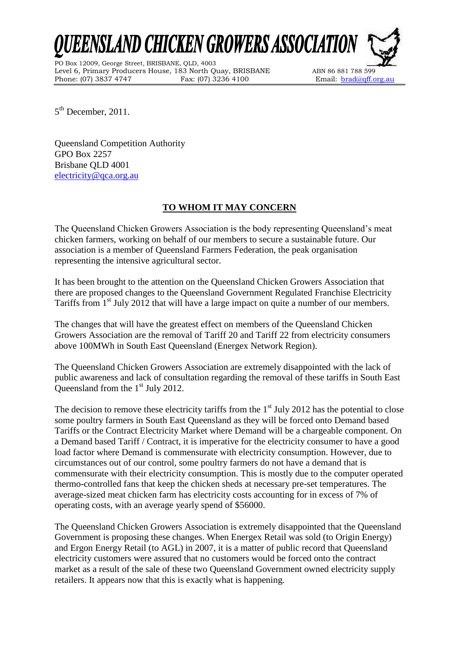EENSLAND CHICKEN GROWERS ASSOCIATION

PO Box 12009, George Street, BRISBANE, QLD, 4003 Level 6, Primary Producers House, 183 North Quay, BRISBANE ABN 86 881 788 599 Phone: (07) 3837 4747 Fax: (07) 3236 4100 Email: brad@qff.org.au



5<sup>th</sup> December, 2011.

Queensland Competition Authority GPO Box 2257 Brisbane QLD 4001 [electricity@qca.org.au](mailto:electricity@qca.org.au)

## **TO WHOM IT MAY CONCERN**

The Queensland Chicken Growers Association is the body representing Queensland's meat chicken farmers, working on behalf of our members to secure a sustainable future. Our association is a member of Queensland Farmers Federation, the peak organisation representing the intensive agricultural sector.

It has been brought to the attention on the Queensland Chicken Growers Association that there are proposed changes to the Queensland Government Regulated Franchise Electricity Tariffs from 1<sup>st</sup> July 2012 that will have a large impact on quite a number of our members.

The changes that will have the greatest effect on members of the Queensland Chicken Growers Association are the removal of Tariff 20 and Tariff 22 from electricity consumers above 100MWh in South East Queensland (Energex Network Region).

The Queensland Chicken Growers Association are extremely disappointed with the lack of public awareness and lack of consultation regarding the removal of these tariffs in South East Queensland from the 1<sup>st</sup> July 2012.

The decision to remove these electricity tariffs from the  $1<sup>st</sup>$  July 2012 has the potential to close some poultry farmers in South East Queensland as they will be forced onto Demand based Tariffs or the Contract Electricity Market where Demand will be a chargeable component. On a Demand based Tariff / Contract, it is imperative for the electricity consumer to have a good load factor where Demand is commensurate with electricity consumption. However, due to circumstances out of our control, some poultry farmers do not have a demand that is commensurate with their electricity consumption. This is mostly due to the computer operated thermo-controlled fans that keep the chicken sheds at necessary pre-set temperatures. The average-sized meat chicken farm has electricity costs accounting for in excess of 7% of operating costs, with an average yearly spend of \$56000.

The Queensland Chicken Growers Association is extremely disappointed that the Queensland Government is proposing these changes. When Energex Retail was sold (to Origin Energy) and Ergon Energy Retail (to AGL) in 2007, it is a matter of public record that Queensland electricity customers were assured that no customers would be forced onto the contract market as a result of the sale of these two Queensland Government owned electricity supply retailers. It appears now that this is exactly what is happening.